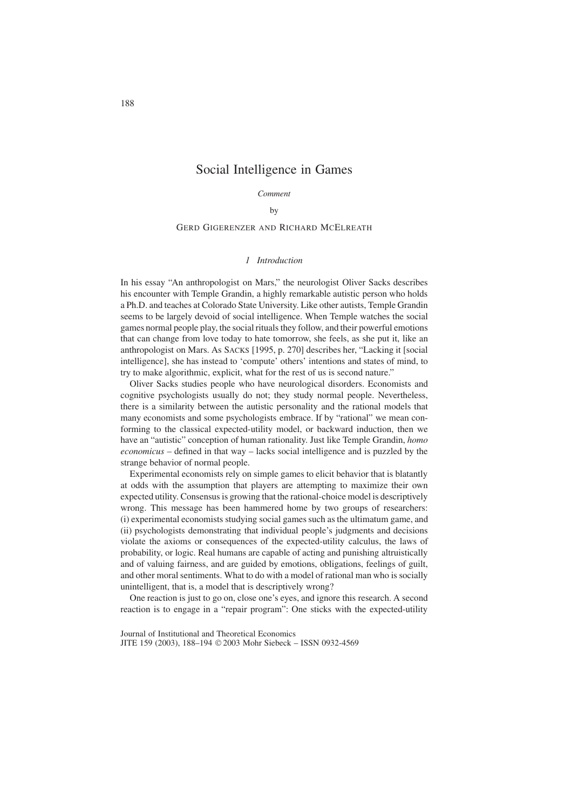# Social Intelligence in Games

Comment

by

### **GERD GIGERENZER AND RICHARD MCELREATH**

# 1 Introduction

In his essay "An anthropologist on Mars," the neurologist Oliver Sacks describes his encounter with Temple Grandin, a highly remarkable autistic person who holds a Ph.D. and teaches at Colorado State University. Like other autists, Temple Grandin seems to be largely devoid of social intelligence. When Temple watches the social games normal people play, the social rituals they follow, and their powerful emotions that can change from love today to hate tomorrow, she feels, as she put it, like an anthropologist on Mars. As SACKS [1995, p. 270] describes her, "Lacking it [social] intelligence], she has instead to 'compute' others' intentions and states of mind, to try to make algorithmic, explicit, what for the rest of us is second nature."

Oliver Sacks studies people who have neurological disorders. Economists and cognitive psychologists usually do not; they study normal people. Nevertheless, there is a similarity between the autistic personality and the rational models that many economists and some psychologists embrace. If by "rational" we mean conforming to the classical expected-utility model, or backward induction, then we have an "autistic" conception of human rationality. Just like Temple Grandin, homo economicus - defined in that way - lacks social intelligence and is puzzled by the strange behavior of normal people.

Experimental economists rely on simple games to elicit behavior that is blatantly at odds with the assumption that players are attempting to maximize their own expected utility. Consensus is growing that the rational-choice model is descriptively wrong. This message has been hammered home by two groups of researchers: (i) experimental economists studying social games such as the ultimatum game, and (ii) psychologists demonstrating that individual people's judgments and decisions violate the axioms or consequences of the expected-utility calculus, the laws of probability, or logic. Real humans are capable of acting and punishing altruistically and of valuing fairness, and are guided by emotions, obligations, feelings of guilt, and other moral sentiments. What to do with a model of rational man who is socially unintelligent, that is, a model that is descriptively wrong?

One reaction is just to go on, close one's eyes, and ignore this research. A second reaction is to engage in a "repair program": One sticks with the expected-utility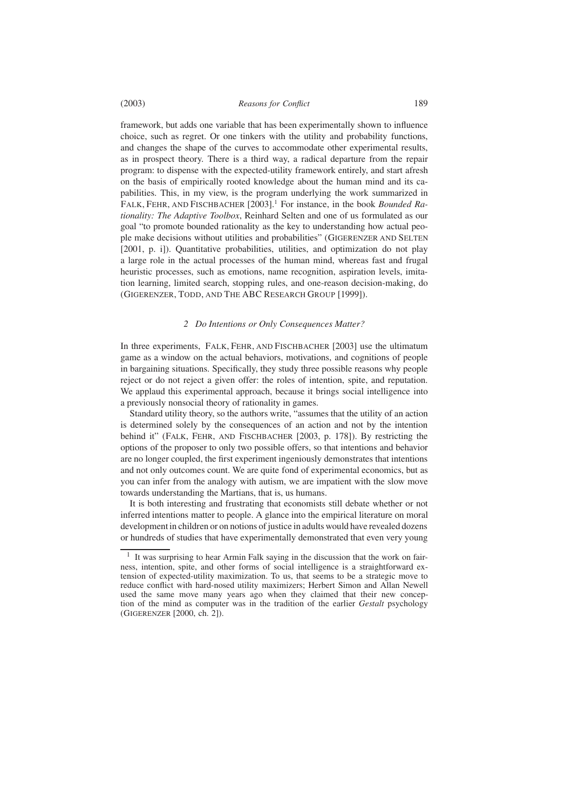**Reasons for Conflict** 

framework, but adds one variable that has been experimentally shown to influence choice, such as regret. Or one tinkers with the utility and probability functions, and changes the shape of the curves to accommodate other experimental results, as in prospect theory. There is a third way, a radical departure from the repair program: to dispense with the expected-utility framework entirely, and start afresh on the basis of empirically rooted knowledge about the human mind and its capabilities. This, in my view, is the program underlying the work summarized in FALK, FEHR, AND FISCHBACHER [2003].<sup>1</sup> For instance, in the book *Bounded Ra*tionality: The Adaptive Toolbox, Reinhard Selten and one of us formulated as our goal "to promote bounded rationality as the key to understanding how actual people make decisions without utilities and probabilities" (GIGERENZER AND SELTEN [2001, p. i]). Quantitative probabilities, utilities, and optimization do not play a large role in the actual processes of the human mind, whereas fast and frugal heuristic processes, such as emotions, name recognition, aspiration levels, imitation learning, limited search, stopping rules, and one-reason decision-making, do (GIGERENZER, TODD, AND THE ABC RESEARCH GROUP [1999]).

# 2 Do Intentions or Only Consequences Matter?

In three experiments, FALK, FEHR, AND FISCHBACHER [2003] use the ultimatum game as a window on the actual behaviors, motivations, and cognitions of people in bargaining situations. Specifically, they study three possible reasons why people reject or do not reject a given offer: the roles of intention, spite, and reputation. We applaud this experimental approach, because it brings social intelligence into a previously nonsocial theory of rationality in games.

Standard utility theory, so the authors write, "assumes that the utility of an action is determined solely by the consequences of an action and not by the intention behind it" (FALK, FEHR, AND FISCHBACHER [2003, p. 178]). By restricting the options of the proposer to only two possible offers, so that intentions and behavior are no longer coupled, the first experiment ingeniously demonstrates that intentions and not only outcomes count. We are quite fond of experimental economics, but as you can infer from the analogy with autism, we are impatient with the slow move towards understanding the Martians, that is, us humans.

It is both interesting and frustrating that economists still debate whether or not inferred intentions matter to people. A glance into the empirical literature on moral development in children or on notions of justice in adults would have revealed dozens or hundreds of studies that have experimentally demonstrated that even very young

<sup>&</sup>lt;sup>1</sup> It was surprising to hear Armin Falk saying in the discussion that the work on fairness, intention, spite, and other forms of social intelligence is a straightforward extension of expected-utility maximization. To us, that seems to be a strategic move to reduce conflict with hard-nosed utility maximizers; Herbert Simon and Allan Newell used the same move many years ago when they claimed that their new conception of the mind as computer was in the tradition of the earlier Gestalt psychology (GIGERENZER [2000, ch. 2]).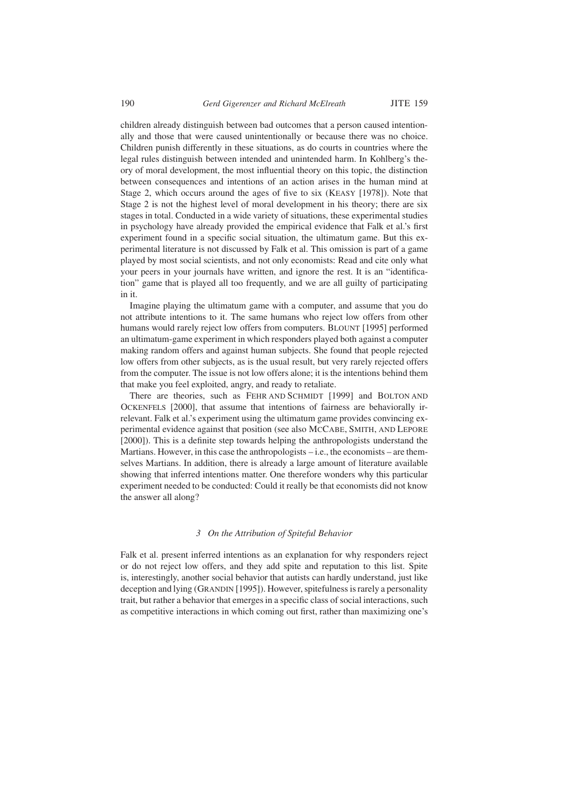children already distinguish between bad outcomes that a person caused intentionally and those that were caused unintentionally or because there was no choice. Children punish differently in these situations, as do courts in countries where the legal rules distinguish between intended and unintended harm. In Kohlberg's theory of moral development, the most influential theory on this topic, the distinction between consequences and intentions of an action arises in the human mind at Stage 2, which occurs around the ages of five to six (KEASY [1978]). Note that Stage 2 is not the highest level of moral development in his theory; there are six stages in total. Conducted in a wide variety of situations, these experimental studies in psychology have already provided the empirical evidence that Falk et al.'s first experiment found in a specific social situation, the ultimatum game. But this experimental literature is not discussed by Falk et al. This omission is part of a game played by most social scientists, and not only economists: Read and cite only what your peers in your journals have written, and ignore the rest. It is an "identification" game that is played all too frequently, and we are all guilty of participating in it

Imagine playing the ultimatum game with a computer, and assume that you do not attribute intentions to it. The same humans who reject low offers from other humans would rarely reject low offers from computers. BLOUNT [1995] performed an ultimatum-game experiment in which responders played both against a computer making random offers and against human subjects. She found that people rejected low offers from other subjects, as is the usual result, but very rarely rejected offers from the computer. The issue is not low offers alone; it is the intentions behind them that make you feel exploited, angry, and ready to retaliate.

There are theories, such as FEHR AND SCHMIDT [1999] and BOLTON AND OCKENFELS [2000], that assume that intentions of fairness are behaviorally irrelevant. Falk et al.'s experiment using the ultimatum game provides convincing experimental evidence against that position (see also McCABE, SMITH, AND LEPORE [2000]). This is a definite step towards helping the anthropologists understand the Martians. However, in this case the anthropologists  $-i.e.,$  the economists – are themselves Martians. In addition, there is already a large amount of literature available showing that inferred intentions matter. One therefore wonders why this particular experiment needed to be conducted: Could it really be that economists did not know the answer all along?

#### 3 On the Attribution of Spiteful Behavior

Falk et al. present inferred intentions as an explanation for why responders reject or do not reject low offers, and they add spite and reputation to this list. Spite is, interestingly, another social behavior that autists can hardly understand, just like deception and lying (GRANDIN [1995]). However, spitefulness is rarely a personality trait, but rather a behavior that emerges in a specific class of social interactions, such as competitive interactions in which coming out first, rather than maximizing one's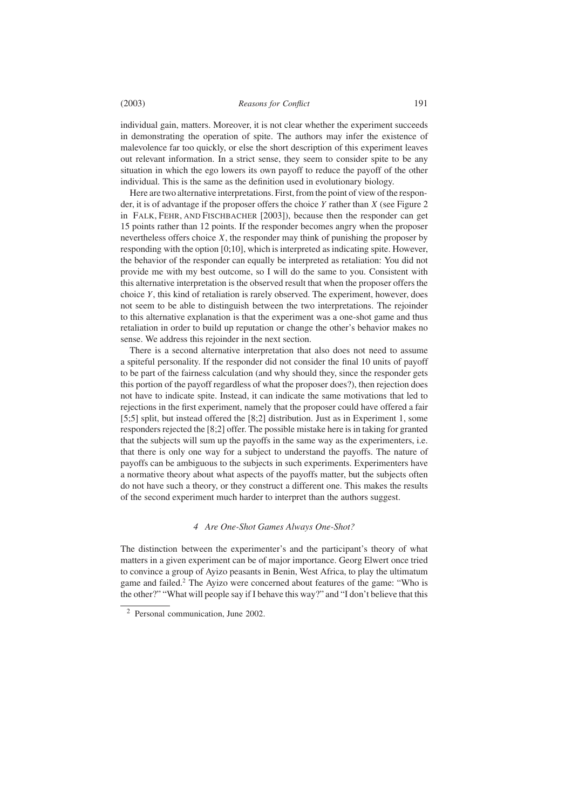individual gain, matters. Moreover, it is not clear whether the experiment succeeds in demonstrating the operation of spite. The authors may infer the existence of malevolence far too quickly, or else the short description of this experiment leaves out relevant information. In a strict sense, they seem to consider spite to be any situation in which the ego lowers its own payoff to reduce the payoff of the other individual. This is the same as the definition used in evolutionary biology.

Here are two alternative interpretations. First, from the point of view of the responder, it is of advantage if the proposer offers the choice  $Y$  rather than  $X$  (see Figure 2 in FALK, FEHR, AND FISCHBACHER [2003]), because then the responder can get 15 points rather than 12 points. If the responder becomes angry when the proposer nevertheless offers choice  $X$ , the responder may think of punishing the proposer by responding with the option  $[0,10]$ , which is interpreted as indicating spite. However, the behavior of the responder can equally be interpreted as retaliation: You did not provide me with my best outcome, so I will do the same to you. Consistent with this alternative interpretation is the observed result that when the proposer offers the choice  $Y$ , this kind of retaliation is rarely observed. The experiment, however, does not seem to be able to distinguish between the two interpretations. The rejoinder to this alternative explanation is that the experiment was a one-shot game and thus retaliation in order to build up reputation or change the other's behavior makes no sense. We address this rejoinder in the next section.

There is a second alternative interpretation that also does not need to assume a spiteful personality. If the responder did not consider the final 10 units of payoff to be part of the fairness calculation (and why should they, since the responder gets this portion of the payoff regardless of what the proposer does?), then rejection does not have to indicate spite. Instead, it can indicate the same motivations that led to rejections in the first experiment, namely that the proposer could have offered a fair  $[5,5]$  split, but instead offered the  $[8,2]$  distribution. Just as in Experiment 1, some responders rejected the [8;2] offer. The possible mistake here is in taking for granted that the subjects will sum up the payoffs in the same way as the experimenters, i.e. that there is only one way for a subject to understand the payoffs. The nature of payoffs can be ambiguous to the subjects in such experiments. Experimenters have a normative theory about what aspects of the payoffs matter, but the subjects often do not have such a theory, or they construct a different one. This makes the results of the second experiment much harder to interpret than the authors suggest.

# 4 Are One-Shot Games Always One-Shot?

The distinction between the experimenter's and the participant's theory of what matters in a given experiment can be of major importance. Georg Elwert once tried to convince a group of Ayizo peasants in Benin, West Africa, to play the ultimatum game and failed.<sup>2</sup> The Ayizo were concerned about features of the game: "Who is the other?" "What will people say if I behave this way?" and "I don't believe that this

<sup>&</sup>lt;sup>2</sup> Personal communication. June 2002.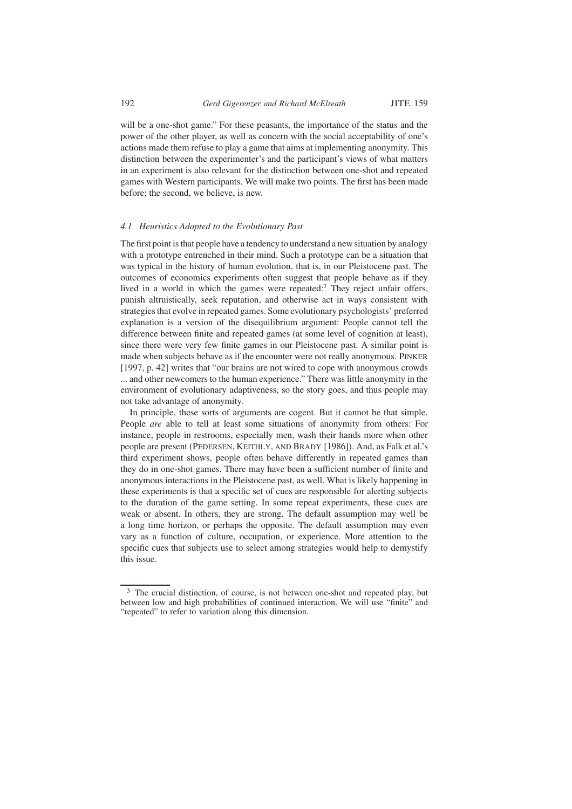will be a one-shot game." For these peasants, the importance of the status and the power of the other player, as well as concern with the social acceptability of one's actions made them refuse to play a game that aims at implementing anonymity. This distinction between the experimenter's and the participant's views of what matters in an experiment is also relevant for the distinction between one-shot and repeated games with Western participants. We will make two points. The first has been made before; the second, we believe, is new.

#### 4.1 Heuristics Adapted to the Evolutionary Past

The first point is that people have a tendency to understand a new situation by analogy with a prototype entrenched in their mind. Such a prototype can be a situation that was typical in the history of human evolution, that is, in our Pleistocene past. The outcomes of economics experiments often suggest that people behave as if they lived in a world in which the games were repeated:<sup>3</sup> They reject unfair offers, punish altruistically, seek reputation, and otherwise act in ways consistent with strategies that evolve in repeated games. Some evolutionary psychologists' preferred explanation is a version of the disequilibrium argument: People cannot tell the difference between finite and repeated games (at some level of cognition at least), since there were very few finite games in our Pleistocene past. A similar point is made when subjects behave as if the encounter were not really anonymous. PINKER [1997, p. 42] writes that "our brains are not wired to cope with anonymous crowds ... and other newcomers to the human experience." There was little anonymity in the environment of evolutionary adaptiveness, so the story goes, and thus people may not take advantage of anonymity.

In principle, these sorts of arguments are cogent. But it cannot be that simple. People are able to tell at least some situations of anonymity from others: For instance, people in restrooms, especially men, wash their hands more when other people are present (PEDERSEN, KEITHLY, AND BRADY [1986]). And, as Falk et al.'s third experiment shows, people often behave differently in repeated games than they do in one-shot games. There may have been a sufficient number of finite and anonymous interactions in the Pleistocene past, as well. What is likely happening in these experiments is that a specific set of cues are responsible for alerting subjects to the duration of the game setting. In some repeat experiments, these cues are weak or absent. In others, they are strong. The default assumption may well be a long time horizon, or perhaps the opposite. The default assumption may even vary as a function of culture, occupation, or experience. More attention to the specific cues that subjects use to select among strategies would help to demystify this issue.

<sup>&</sup>lt;sup>3</sup> The crucial distinction, of course, is not between one-shot and repeated play, but between low and high probabilities of continued interaction. We will use "finite" and "repeated" to refer to variation along this dimension.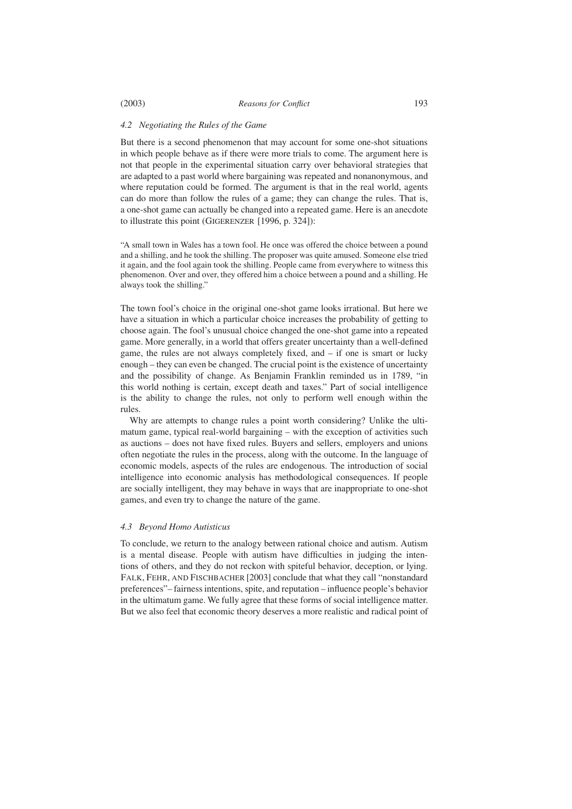# $(2003)$

**Reasons for Conflict** 

# 4.2 Negotiating the Rules of the Game

But there is a second phenomenon that may account for some one-shot situations in which people behave as if there were more trials to come. The argument here is not that people in the experimental situation carry over behavioral strategies that are adapted to a past world where bargaining was repeated and nonanonymous, and where reputation could be formed. The argument is that in the real world, agents can do more than follow the rules of a game; they can change the rules. That is, a one-shot game can actually be changed into a repeated game. Here is an anecdote to illustrate this point (GIGERENZER [1996, p. 324]):

"A small town in Wales has a town fool. He once was offered the choice between a pound and a shilling, and he took the shilling. The proposer was quite amused. Someone else tried it again, and the fool again took the shilling. People came from everywhere to witness this phenomenon. Over and over, they offered him a choice between a pound and a shilling. He always took the shilling."

The town fool's choice in the original one-shot game looks irrational. But here we have a situation in which a particular choice increases the probability of getting to choose again. The fool's unusual choice changed the one-shot game into a repeated game. More generally, in a world that offers greater uncertainty than a well-defined game, the rules are not always completely fixed, and  $-$  if one is smart or lucky enough – they can even be changed. The crucial point is the existence of uncertainty and the possibility of change. As Benjamin Franklin reminded us in 1789, "in this world nothing is certain, except death and taxes." Part of social intelligence is the ability to change the rules, not only to perform well enough within the rules.

Why are attempts to change rules a point worth considering? Unlike the ultimatum game, typical real-world bargaining – with the exception of activities such as auctions - does not have fixed rules. Buyers and sellers, employers and unions often negotiate the rules in the process, along with the outcome. In the language of economic models, aspects of the rules are endogenous. The introduction of social intelligence into economic analysis has methodological consequences. If people are socially intelligent, they may behave in ways that are inappropriate to one-shot games, and even try to change the nature of the game.

# 4.3 Beyond Homo Autisticus

To conclude, we return to the analogy between rational choice and autism. Autism is a mental disease. People with autism have difficulties in judging the intentions of others, and they do not reckon with spiteful behavior, deception, or lying. FALK, FEHR, AND FISCHBACHER [2003] conclude that what they call "nonstandard preferences"-fairness intentions, spite, and reputation - influence people's behavior in the ultimatum game. We fully agree that these forms of social intelligence matter. But we also feel that economic theory deserves a more realistic and radical point of